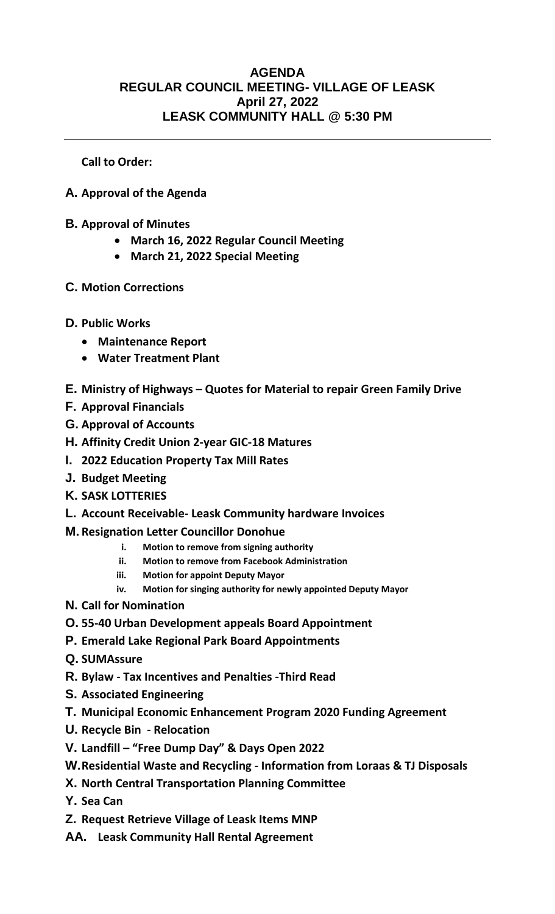## **AGENDA REGULAR COUNCIL MEETING- VILLAGE OF LEASK April 27, 2022 LEASK COMMUNITY HALL @ 5:30 PM**

**Call to Order:** 

- **A. Approval of the Agenda**
- **B. Approval of Minutes**
	- **March 16, 2022 Regular Council Meeting**
	- **March 21, 2022 Special Meeting**
- **C. Motion Corrections**
- **D. Public Works**
	- **Maintenance Report**
	- **Water Treatment Plant**
- **E. Ministry of Highways – Quotes for Material to repair Green Family Drive**
- **F. Approval Financials**
- **G. Approval of Accounts**
- **H. Affinity Credit Union 2-year GIC-18 Matures**
- **I. 2022 Education Property Tax Mill Rates**
- **J. Budget Meeting**
- **K. SASK LOTTERIES**
- **L. Account Receivable- Leask Community hardware Invoices**
- **M. Resignation Letter Councillor Donohue**
	- **i. Motion to remove from signing authority**
	- **ii. Motion to remove from Facebook Administration**
	- **iii. Motion for appoint Deputy Mayor**
	- **iv. Motion for singing authority for newly appointed Deputy Mayor**
- **N. Call for Nomination**
- **O. 55-40 Urban Development appeals Board Appointment**
- **P. Emerald Lake Regional Park Board Appointments**
- **Q. SUMAssure**
- **R. Bylaw - Tax Incentives and Penalties -Third Read**
- **S. Associated Engineering**
- **T. Municipal Economic Enhancement Program 2020 Funding Agreement**
- **U. Recycle Bin - Relocation**
- **V. Landfill – "Free Dump Day" & Days Open 2022**
- **W.Residential Waste and Recycling - Information from Loraas & TJ Disposals**
- **X. North Central Transportation Planning Committee**
- **Y. Sea Can**
- **Z. Request Retrieve Village of Leask Items MNP**
- **AA. Leask Community Hall Rental Agreement**